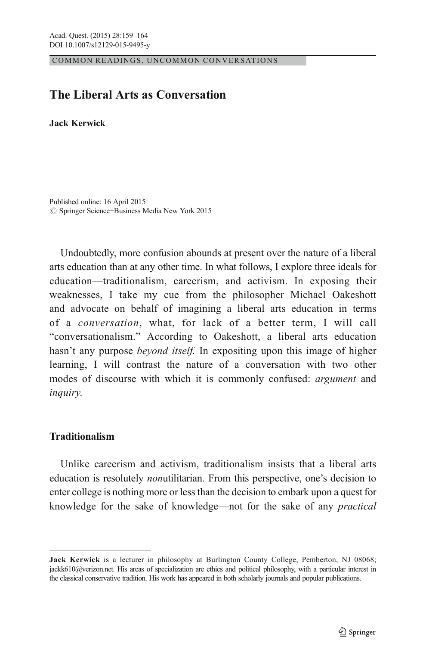COMMON READINGS, UNCOMMON CONVERSATIONS

# The Liberal Arts as Conversation

Jack Kerwick

Published online: 16 April 2015 © Springer Science+Business Media New York 2015

Undoubtedly, more confusion abounds at present over the nature of a liberal arts education than at any other time. In what follows, I explore three ideals for education—traditionalism, careerism, and activism. In exposing their weaknesses, I take my cue from the philosopher Michael Oakeshott and advocate on behalf of imagining a liberal arts education in terms of a conversation, what, for lack of a better term, I will call "conversationalism." According to Oakeshott, a liberal arts education hasn't any purpose *beyond itself*. In expositing upon this image of higher learning, I will contrast the nature of a conversation with two other modes of discourse with which it is commonly confused: argument and inquiry.

## Traditionalism

Unlike careerism and activism, traditionalism insists that a liberal arts education is resolutely nonutilitarian. From this perspective, one's decision to enter college is nothing more or less than the decision to embark upon a quest for knowledge for the sake of knowledge—not for the sake of any practical

Jack Kerwick is a lecturer in philosophy at Burlington County College, Pemberton, NJ 08068; jackk610@verizon.net. His areas of specialization are ethics and political philosophy, with a particular interest in the classical conservative tradition. His work has appeared in both scholarly journals and popular publications.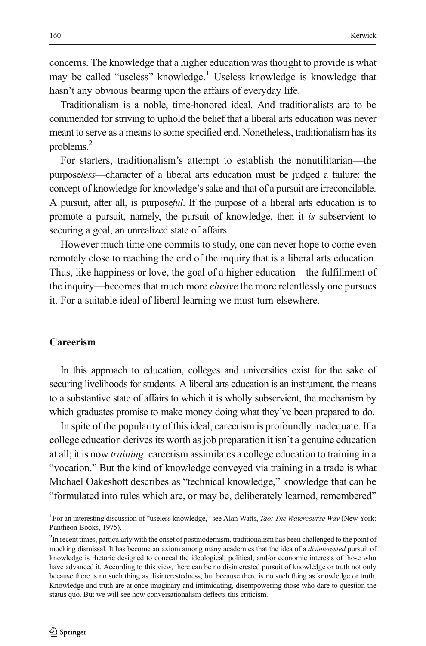concerns. The knowledge that a higher education was thought to provide is what may be called "useless" knowledge.<sup>1</sup> Useless knowledge is knowledge that hasn't any obvious bearing upon the affairs of everyday life.

Traditionalism is a noble, time-honored ideal. And traditionalists are to be commended for striving to uphold the belief that a liberal arts education was never meant to serve as a means to some specified end. Nonetheless, traditionalism has its problems.2

For starters, traditionalism's attempt to establish the nonutilitarian—the purposeless—character of a liberal arts education must be judged a failure: the concept of knowledge for knowledge's sake and that of a pursuit are irreconcilable. A pursuit, after all, is purposeful. If the purpose of a liberal arts education is to promote a pursuit, namely, the pursuit of knowledge, then it is subservient to securing a goal, an unrealized state of affairs.

However much time one commits to study, one can never hope to come even remotely close to reaching the end of the inquiry that is a liberal arts education. Thus, like happiness or love, the goal of a higher education—the fulfillment of the inquiry—becomes that much more *elusive* the more relentlessly one pursues it. For a suitable ideal of liberal learning we must turn elsewhere.

### Careerism

In this approach to education, colleges and universities exist for the sake of securing livelihoods for students. A liberal arts education is an instrument, the means to a substantive state of affairs to which it is wholly subservient, the mechanism by which graduates promise to make money doing what they've been prepared to do.

In spite of the popularity of this ideal, careerism is profoundly inadequate. If a college education derives its worth as job preparation it isn't a genuine education at all; it is now training: careerism assimilates a college education to training in a "vocation." But the kind of knowledge conveyed via training in a trade is what Michael Oakeshott describes as "technical knowledge," knowledge that can be "formulated into rules which are, or may be, deliberately learned, remembered"

<sup>&</sup>lt;sup>1</sup>For an interesting discussion of "useless knowledge," see Alan Watts, Tao: The Watercourse Way (New York: Pantheon Books, 1975).

<sup>&</sup>lt;sup>2</sup>In recent times, particularly with the onset of postmodernism, traditionalism has been challenged to the point of mocking dismissal. It has become an axiom among many academics that the idea of a *disinterested* pursuit of knowledge is rhetoric designed to conceal the ideological, political, and/or economic interests of those who have advanced it. According to this view, there can be no disinterested pursuit of knowledge or truth not only because there is no such thing as disinterestedness, but because there is no such thing as knowledge or truth. Knowledge and truth are at once imaginary and intimidating, disempowering those who dare to question the status quo. But we will see how conversationalism deflects this criticism.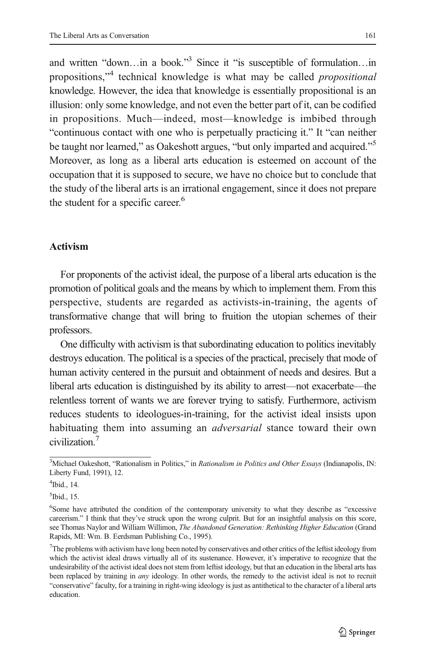and written "down...in a book."<sup>3</sup> Since it "is susceptible of formulation...in propositions,"<sup>4</sup> technical knowledge is what may be called *propositional* knowledge. However, the idea that knowledge is essentially propositional is an illusion: only some knowledge, and not even the better part of it, can be codified in propositions. Much—indeed, most—knowledge is imbibed through "continuous contact with one who is perpetually practicing it." It "can neither be taught nor learned," as Oakeshott argues, "but only imparted and acquired."<sup>5</sup> Moreover, as long as a liberal arts education is esteemed on account of the occupation that it is supposed to secure, we have no choice but to conclude that the study of the liberal arts is an irrational engagement, since it does not prepare the student for a specific career.<sup>6</sup>

### Activism

For proponents of the activist ideal, the purpose of a liberal arts education is the promotion of political goals and the means by which to implement them. From this perspective, students are regarded as activists-in-training, the agents of transformative change that will bring to fruition the utopian schemes of their professors.

One difficulty with activism is that subordinating education to politics inevitably destroys education. The political is a species of the practical, precisely that mode of human activity centered in the pursuit and obtainment of needs and desires. But a liberal arts education is distinguished by its ability to arrest—not exacerbate—the relentless torrent of wants we are forever trying to satisfy. Furthermore, activism reduces students to ideologues-in-training, for the activist ideal insists upon habituating them into assuming an *adversarial* stance toward their own civilization.7

<sup>&</sup>lt;sup>3</sup>Michael Oakeshott, "Rationalism in Politics," in Rationalism in Politics and Other Essays (Indianapolis, IN: Liberty Fund, 1991), 12.

<sup>4</sup> Ibid., 14.

<sup>5</sup> Ibid., 15.

<sup>&</sup>lt;sup>6</sup>Some have attributed the condition of the contemporary university to what they describe as "excessive careerism." I think that they've struck upon the wrong culprit. But for an insightful analysis on this score, see Thomas Naylor and William Willimon, The Abandoned Generation: Rethinking Higher Education (Grand Rapids, MI: Wm. B. Eerdsman Publishing Co., 1995).

<sup>&</sup>lt;sup>7</sup>The problems with activism have long been noted by conservatives and other critics of the leftist ideology from which the activist ideal draws virtually all of its sustenance. However, it's imperative to recognize that the undesirability of the activist ideal does not stem from leftist ideology, but that an education in the liberal arts has been replaced by training in *any* ideology. In other words, the remedy to the activist ideal is not to recruit "conservative" faculty, for a training in right-wing ideology is just as antithetical to the character of a liberal arts education.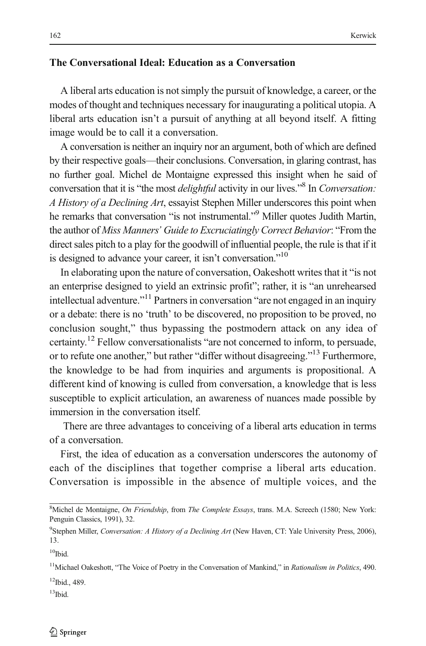#### The Conversational Ideal: Education as a Conversation

A liberal arts education is not simply the pursuit of knowledge, a career, or the modes of thought and techniques necessary for inaugurating a political utopia. A liberal arts education isn't a pursuit of anything at all beyond itself. A fitting image would be to call it a conversation.

A conversation is neither an inquiry nor an argument, both of which are defined by their respective goals—their conclusions. Conversation, in glaring contrast, has no further goal. Michel de Montaigne expressed this insight when he said of conversation that it is "the most *delightful* activity in our lives."<sup>8</sup> In *Conversation*: A History of a Declining Art, essayist Stephen Miller underscores this point when he remarks that conversation "is not instrumental." Miller quotes Judith Martin, the author of Miss Manners' Guide to Excruciatingly Correct Behavior: "From the direct sales pitch to a play for the goodwill of influential people, the rule is that if it is designed to advance your career, it isn't conversation."<sup>10</sup>

In elaborating upon the nature of conversation, Oakeshott writes that it "is not an enterprise designed to yield an extrinsic profit"; rather, it is "an unrehearsed intellectual adventure."<sup>11</sup> Partners in conversation "are not engaged in an inquiry or a debate: there is no 'truth' to be discovered, no proposition to be proved, no conclusion sought," thus bypassing the postmodern attack on any idea of certainty.12 Fellow conversationalists "are not concerned to inform, to persuade, or to refute one another," but rather "differ without disagreeing."<sup>13</sup> Furthermore, the knowledge to be had from inquiries and arguments is propositional. A different kind of knowing is culled from conversation, a knowledge that is less susceptible to explicit articulation, an awareness of nuances made possible by immersion in the conversation itself.

There are three advantages to conceiving of a liberal arts education in terms of a conversation.

First, the idea of education as a conversation underscores the autonomy of each of the disciplines that together comprise a liberal arts education. Conversation is impossible in the absence of multiple voices, and the

<sup>&</sup>lt;sup>8</sup>Michel de Montaigne, On Friendship, from The Complete Essays, trans. M.A. Screech (1580; New York: Penguin Classics, 1991), 32.

<sup>&</sup>lt;sup>9</sup>Stephen Miller, Conversation: A History of a Declining Art (New Haven, CT: Yale University Press, 2006), 13.

 $10$ Ibid.

<sup>&</sup>lt;sup>11</sup>Michael Oakeshott, "The Voice of Poetry in the Conversation of Mankind," in Rationalism in Politics, 490.

<sup>12</sup>Ibid., 489.

 $13$ Ibid.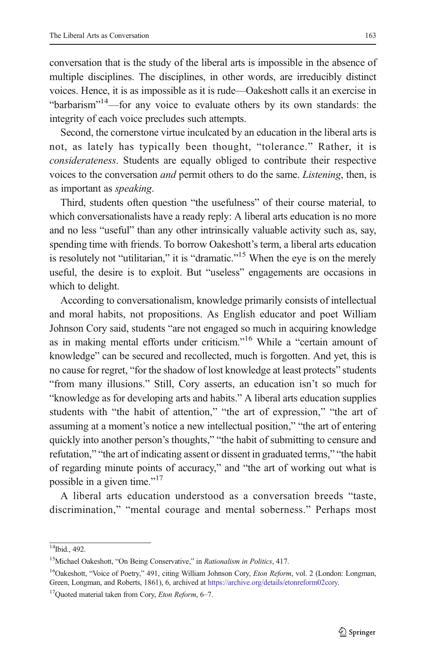conversation that is the study of the liberal arts is impossible in the absence of multiple disciplines. The disciplines, in other words, are irreducibly distinct voices. Hence, it is as impossible as it is rude—Oakeshott calls it an exercise in "barbarism"<sup>14</sup>—for any voice to evaluate others by its own standards: the integrity of each voice precludes such attempts.

Second, the cornerstone virtue inculcated by an education in the liberal arts is not, as lately has typically been thought, "tolerance." Rather, it is considerateness. Students are equally obliged to contribute their respective voices to the conversation and permit others to do the same. Listening, then, is as important as speaking.

Third, students often question "the usefulness" of their course material, to which conversationalists have a ready reply: A liberal arts education is no more and no less "useful" than any other intrinsically valuable activity such as, say, spending time with friends. To borrow Oakeshott's term, a liberal arts education is resolutely not "utilitarian," it is "dramatic."<sup>15</sup> When the eye is on the merely useful, the desire is to exploit. But "useless" engagements are occasions in which to delight.

According to conversationalism, knowledge primarily consists of intellectual and moral habits, not propositions. As English educator and poet William Johnson Cory said, students "are not engaged so much in acquiring knowledge as in making mental efforts under criticism."<sup>16</sup> While a "certain amount of knowledge" can be secured and recollected, much is forgotten. And yet, this is no cause for regret, "for the shadow of lost knowledge at least protects" students "from many illusions." Still, Cory asserts, an education isn't so much for "knowledge as for developing arts and habits." A liberal arts education supplies students with "the habit of attention," "the art of expression," "the art of assuming at a moment's notice a new intellectual position," "the art of entering quickly into another person's thoughts," "the habit of submitting to censure and refutation," "the art of indicating assent or dissent in graduated terms," "the habit of regarding minute points of accuracy," and "the art of working out what is possible in a given time."<sup>17</sup>

A liberal arts education understood as a conversation breeds "taste, discrimination," "mental courage and mental soberness." Perhaps most

 $14$ Ibid., 492.

<sup>&</sup>lt;sup>15</sup>Michael Oakeshott, "On Being Conservative," in Rationalism in Politics, 417.

<sup>&</sup>lt;sup>16</sup>Oakeshott, "Voice of Poetry," 491, citing William Johnson Cory, *Eton Reform*, vol. 2 (London: Longman, Green, Longman, and Roberts, 1861), 6, archived at [https://archive.org/details/etonreform02cory.](https://archive.org/details/etonreform02cory)

 $17$ Quoted material taken from Cory, Eton Reform, 6-7.